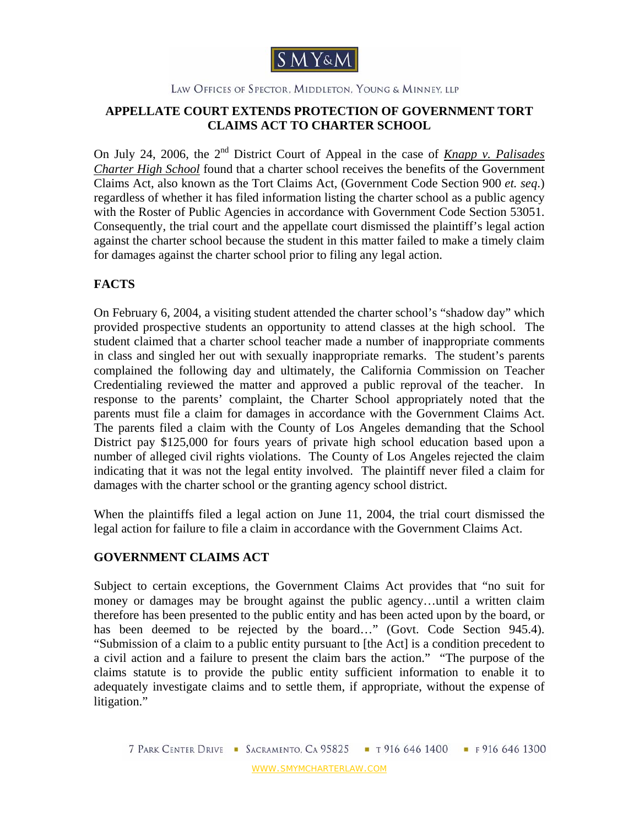

#### LAW OFFICES OF SPECTOR, MIDDLETON, YOUNG & MINNEY, LLP

## **APPELLATE COURT EXTENDS PROTECTION OF GOVERNMENT TORT CLAIMS ACT TO CHARTER SCHOOL**

On July 24, 2006, the 2<sup>nd</sup> District Court of Appeal in the case of *Knapp v. Palisades Charter High School* found that a charter school receives the benefits of the Government Claims Act, also known as the Tort Claims Act, (Government Code Section 900 *et. seq*.) regardless of whether it has filed information listing the charter school as a public agency with the Roster of Public Agencies in accordance with Government Code Section 53051. Consequently, the trial court and the appellate court dismissed the plaintiff's legal action against the charter school because the student in this matter failed to make a timely claim for damages against the charter school prior to filing any legal action.

## **FACTS**

On February 6, 2004, a visiting student attended the charter school's "shadow day" which provided prospective students an opportunity to attend classes at the high school. The student claimed that a charter school teacher made a number of inappropriate comments in class and singled her out with sexually inappropriate remarks. The student's parents complained the following day and ultimately, the California Commission on Teacher Credentialing reviewed the matter and approved a public reproval of the teacher. In response to the parents' complaint, the Charter School appropriately noted that the parents must file a claim for damages in accordance with the Government Claims Act. The parents filed a claim with the County of Los Angeles demanding that the School District pay \$125,000 for fours years of private high school education based upon a number of alleged civil rights violations. The County of Los Angeles rejected the claim indicating that it was not the legal entity involved. The plaintiff never filed a claim for damages with the charter school or the granting agency school district.

When the plaintiffs filed a legal action on June 11, 2004, the trial court dismissed the legal action for failure to file a claim in accordance with the Government Claims Act.

#### **GOVERNMENT CLAIMS ACT**

Subject to certain exceptions, the Government Claims Act provides that "no suit for money or damages may be brought against the public agency…until a written claim therefore has been presented to the public entity and has been acted upon by the board, or has been deemed to be rejected by the board..." (Govt. Code Section 945.4). "Submission of a claim to a public entity pursuant to [the Act] is a condition precedent to a civil action and a failure to present the claim bars the action." "The purpose of the claims statute is to provide the public entity sufficient information to enable it to adequately investigate claims and to settle them, if appropriate, without the expense of litigation."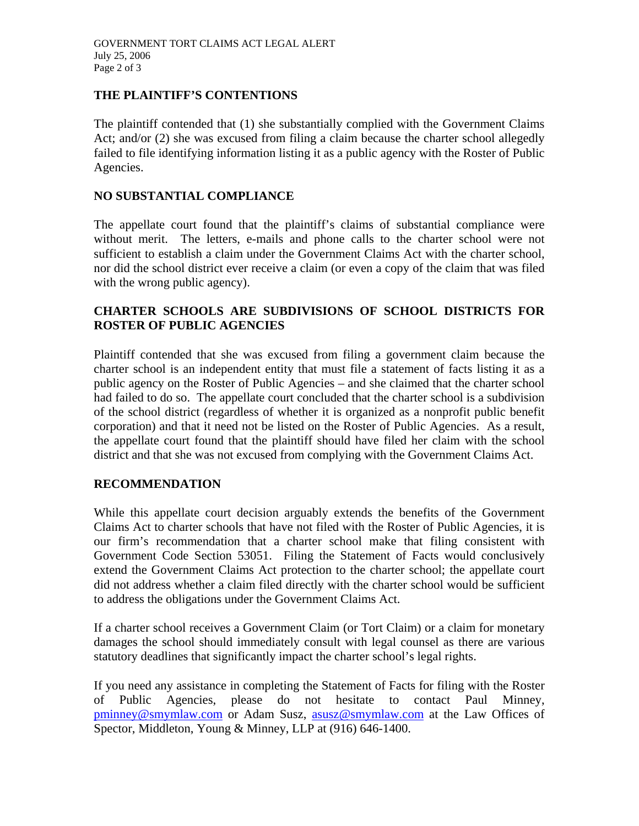## **THE PLAINTIFF'S CONTENTIONS**

The plaintiff contended that (1) she substantially complied with the Government Claims Act; and/or (2) she was excused from filing a claim because the charter school allegedly failed to file identifying information listing it as a public agency with the Roster of Public Agencies.

#### **NO SUBSTANTIAL COMPLIANCE**

The appellate court found that the plaintiff's claims of substantial compliance were without merit. The letters, e-mails and phone calls to the charter school were not sufficient to establish a claim under the Government Claims Act with the charter school, nor did the school district ever receive a claim (or even a copy of the claim that was filed with the wrong public agency).

# **CHARTER SCHOOLS ARE SUBDIVISIONS OF SCHOOL DISTRICTS FOR ROSTER OF PUBLIC AGENCIES**

Plaintiff contended that she was excused from filing a government claim because the charter school is an independent entity that must file a statement of facts listing it as a public agency on the Roster of Public Agencies – and she claimed that the charter school had failed to do so. The appellate court concluded that the charter school is a subdivision of the school district (regardless of whether it is organized as a nonprofit public benefit corporation) and that it need not be listed on the Roster of Public Agencies. As a result, the appellate court found that the plaintiff should have filed her claim with the school district and that she was not excused from complying with the Government Claims Act.

#### **RECOMMENDATION**

While this appellate court decision arguably extends the benefits of the Government Claims Act to charter schools that have not filed with the Roster of Public Agencies, it is our firm's recommendation that a charter school make that filing consistent with Government Code Section 53051. Filing the Statement of Facts would conclusively extend the Government Claims Act protection to the charter school; the appellate court did not address whether a claim filed directly with the charter school would be sufficient to address the obligations under the Government Claims Act.

If a charter school receives a Government Claim (or Tort Claim) or a claim for monetary damages the school should immediately consult with legal counsel as there are various statutory deadlines that significantly impact the charter school's legal rights.

If you need any assistance in completing the Statement of Facts for filing with the Roster of Public Agencies, please do not hesitate to contact Paul Minney, pminney@smymlaw.com or Adam Susz, asusz@smymlaw.com at the Law Offices of Spector, Middleton, Young & Minney, LLP at (916) 646-1400.